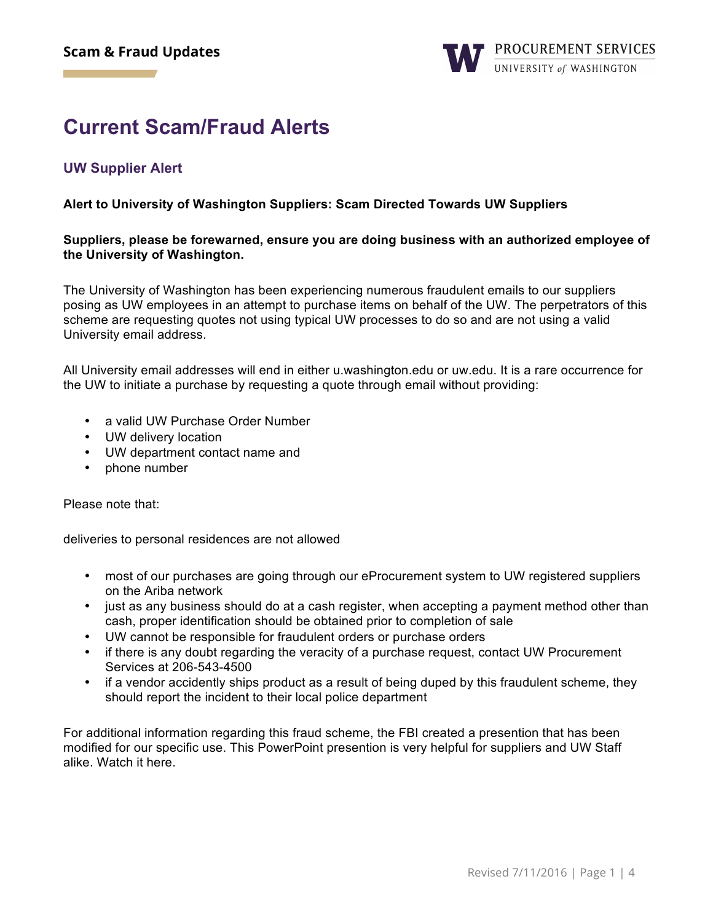## **Current Scam/Fraud Alerts**

#### **UW Supplier Alert**

#### **Alert to University of Washington Suppliers: Scam Directed Towards UW Suppliers**

#### **Suppliers, please be forewarned, ensure you are doing business with an authorized employee of the University of Washington.**

The University of Washington has been experiencing numerous fraudulent emails to our suppliers posing as UW employees in an attempt to purchase items on behalf of the UW. The perpetrators of this scheme are requesting quotes not using typical UW processes to do so and are not using a valid University email address.

All University email addresses will end in either u.washington.edu or uw.edu. It is a rare occurrence for the UW to initiate a purchase by requesting a quote through email without providing:

- a valid UW Purchase Order Number
- UW delivery location
- UW department contact name and
- phone number

Please note that:

deliveries to personal residences are not allowed

- most of our purchases are going through our eProcurement system to UW registered suppliers on the Ariba network
- just as any business should do at a cash register, when accepting a payment method other than cash, proper identification should be obtained prior to completion of sale
- UW cannot be responsible for fraudulent orders or purchase orders
- if there is any doubt regarding the veracity of a purchase request, contact UW Procurement Services at 206-543-4500
- if a vendor accidently ships product as a result of being duped by this fraudulent scheme, they should report the incident to their local police department

For additional information regarding this fraud scheme, the FBI created a presention that has been modified for our specific use. This PowerPoint presention is very helpful for suppliers and UW Staff alike. Watch it here.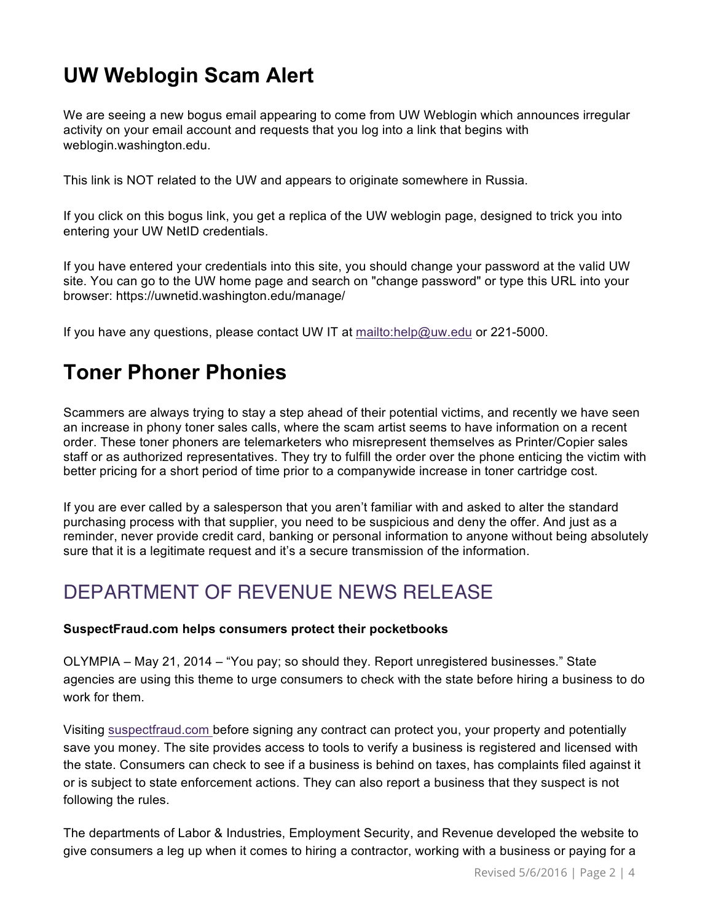# **UW Weblogin Scam Alert**

We are seeing a new bogus email appearing to come from UW Weblogin which announces irregular activity on your email account and requests that you log into a link that begins with weblogin.washington.edu.

This link is NOT related to the UW and appears to originate somewhere in Russia.

If you click on this bogus link, you get a replica of the UW weblogin page, designed to trick you into entering your UW NetID credentials.

If you have entered your credentials into this site, you should change your password at the valid UW site. You can go to the UW home page and search on "change password" or type this URL into your browser: https://uwnetid.washington.edu/manage/

If you have any questions, please contact UW IT at<mailto:help@uw.edu> or 221-5000.

## **Toner Phoner Phonies**

Scammers are always trying to stay a step ahead of their potential victims, and recently we have seen an increase in phony toner sales calls, where the scam artist seems to have information on a recent order. These toner phoners are telemarketers who misrepresent themselves as Printer/Copier sales staff or as authorized representatives. They try to fulfill the order over the phone enticing the victim with better pricing for a short period of time prior to a companywide increase in toner cartridge cost.

If you are ever called by a salesperson that you aren't familiar with and asked to alter the standard purchasing process with that supplier, you need to be suspicious and deny the offer. And just as a reminder, never provide credit card, banking or personal information to anyone without being absolutely sure that it is a legitimate request and it's a secure transmission of the information.

### DEPARTMENT OF REVENUE NEWS RELEASE

#### **SuspectFraud.com helps consumers protect their pocketbooks**

OLYMPIA – May 21, 2014 – "You pay; so should they. Report unregistered businesses." State agencies are using this theme to urge consumers to check with the state before hiring a business to do work for them.

Visiting <suspectfraud.com> before signing any contract can protect you, your property and potentially save you money. The site provides access to tools to verify a business is registered and licensed with the state. Consumers can check to see if a business is behind on taxes, has complaints filed against it or is subject to state enforcement actions. They can also report a business that they suspect is not following the rules.

The departments of Labor & Industries, Employment Security, and Revenue developed the website to give consumers a leg up when it comes to hiring a contractor, working with a business or paying for a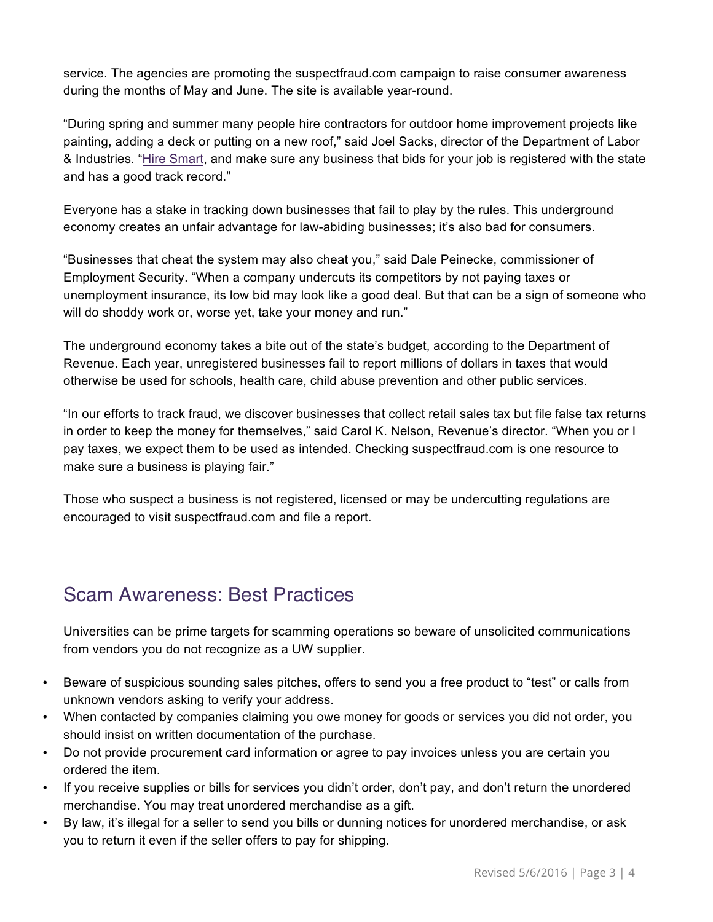service. The agencies are promoting the suspectfraud.com campaign to raise consumer awareness during the months of May and June. The site is available year-round.

"During spring and summer many people hire contractors for outdoor home improvement projects like painting, adding a deck or putting on a new roof," said Joel Sacks, director of the Department of Labor & Industries. ["Hire Smart,](http://www.lni.wa.gov/TradesLicensing/Contractors/HireCon/Checklist/before1.asp) and make sure any business that bids for your job is registered with the state and has a good track record."

Everyone has a stake in tracking down businesses that fail to play by the rules. This underground economy creates an unfair advantage for law-abiding businesses; it's also bad for consumers.

"Businesses that cheat the system may also cheat you," said Dale Peinecke, commissioner of Employment Security. "When a company undercuts its competitors by not paying taxes or unemployment insurance, its low bid may look like a good deal. But that can be a sign of someone who will do shoddy work or, worse yet, take your money and run."

The underground economy takes a bite out of the state's budget, according to the Department of Revenue. Each year, unregistered businesses fail to report millions of dollars in taxes that would otherwise be used for schools, health care, child abuse prevention and other public services.

"In our efforts to track fraud, we discover businesses that collect retail sales tax but file false tax returns in order to keep the money for themselves," said Carol K. Nelson, Revenue's director. "When you or I pay taxes, we expect them to be used as intended. Checking suspectfraud.com is one resource to make sure a business is playing fair."

Those who suspect a business is not registered, licensed or may be undercutting regulations are encouraged to visit suspectfraud.com and file a report.

#### Scam Awareness: Best Practices

Universities can be prime targets for scamming operations so beware of unsolicited communications from vendors you do not recognize as a UW supplier.

- Beware of suspicious sounding sales pitches, offers to send you a free product to "test" or calls from unknown vendors asking to verify your address.
- When contacted by companies claiming you owe money for goods or services you did not order, you should insist on written documentation of the purchase.
- Do not provide procurement card information or agree to pay invoices unless you are certain you ordered the item.
- If you receive supplies or bills for services you didn't order, don't pay, and don't return the unordered merchandise. You may treat unordered merchandise as a gift.
- By law, it's illegal for a seller to send you bills or dunning notices for unordered merchandise, or ask you to return it even if the seller offers to pay for shipping.